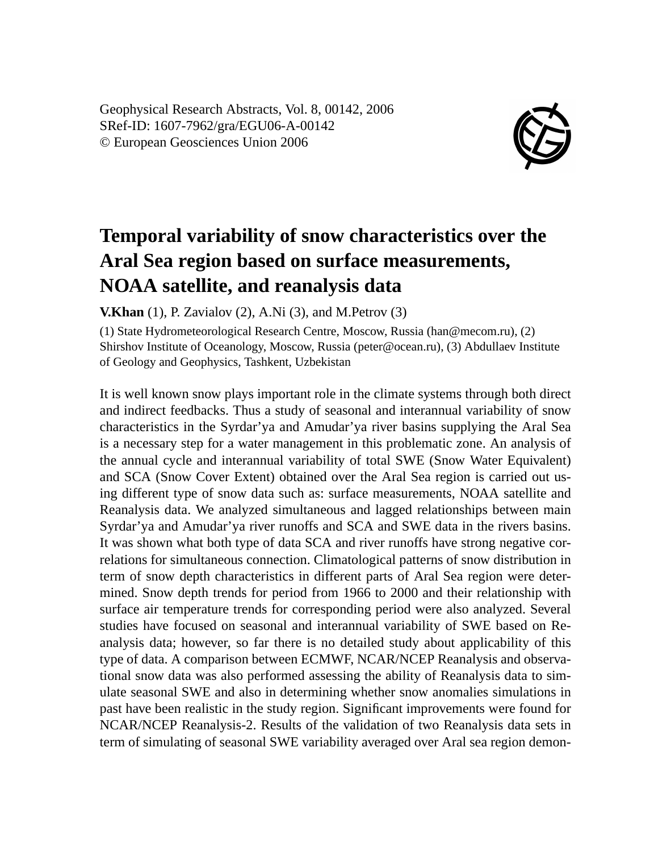Geophysical Research Abstracts, Vol. 8, 00142, 2006 SRef-ID: 1607-7962/gra/EGU06-A-00142 © European Geosciences Union 2006



## **Temporal variability of snow characteristics over the Aral Sea region based on surface measurements, NOAA satellite, and reanalysis data**

**V.Khan** (1), P. Zavialov (2), A.Ni (3), and M.Petrov (3)

(1) State Hydrometeorological Research Centre, Moscow, Russia (han@mecom.ru), (2) Shirshov Institute of Oceanology, Moscow, Russia (peter@ocean.ru), (3) Abdullaev Institute of Geology and Geophysics, Tashkent, Uzbekistan

It is well known snow plays important role in the climate systems through both direct and indirect feedbacks. Thus a study of seasonal and interannual variability of snow characteristics in the Syrdar'ya and Amudar'ya river basins supplying the Aral Sea is a necessary step for a water management in this problematic zone. An analysis of the annual cycle and interannual variability of total SWE (Snow Water Equivalent) and SCA (Snow Cover Extent) obtained over the Aral Sea region is carried out using different type of snow data such as: surface measurements, NOAA satellite and Reanalysis data. We analyzed simultaneous and lagged relationships between main Syrdar'ya and Amudar'ya river runoffs and SCA and SWE data in the rivers basins. It was shown what both type of data SCA and river runoffs have strong negative correlations for simultaneous connection. Climatological patterns of snow distribution in term of snow depth characteristics in different parts of Aral Sea region were determined. Snow depth trends for period from 1966 to 2000 and their relationship with surface air temperature trends for corresponding period were also analyzed. Several studies have focused on seasonal and interannual variability of SWE based on Reanalysis data; however, so far there is no detailed study about applicability of this type of data. A comparison between ECMWF, NCAR/NCEP Reanalysis and observational snow data was also performed assessing the ability of Reanalysis data to simulate seasonal SWE and also in determining whether snow anomalies simulations in past have been realistic in the study region. Significant improvements were found for NCAR/NCEP Reanalysis-2. Results of the validation of two Reanalysis data sets in term of simulating of seasonal SWE variability averaged over Aral sea region demon